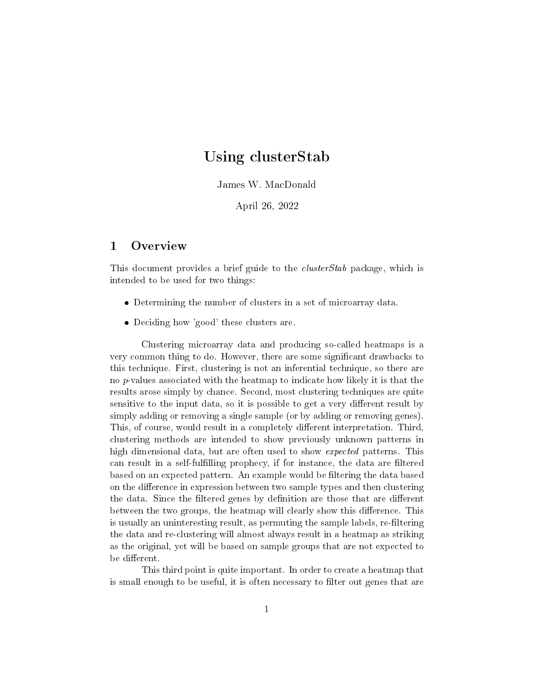## Using clusterStab

James W. MacDonald

April 26, 2022

## 1 Overview

This document provides a brief guide to the *clusterStab* package, which is intended to be used for two things:

- Determining the number of clusters in a set of microarray data.
- Deciding how 'good' these clusters are.

Clustering microarray data and producing so-called heatmaps is a very common thing to do. However, there are some signicant drawbacks to this technique. First, clustering is not an inferential technique, so there are no p-values associated with the heatmap to indicate how likely it is that the results arose simply by chance. Second, most clustering techniques are quite sensitive to the input data, so it is possible to get a very different result by simply adding or removing a single sample (or by adding or removing genes). This, of course, would result in a completely different interpretation. Third, clustering methods are intended to show previously unknown patterns in high dimensional data, but are often used to show expected patterns. This can result in a self-fulfilling prophecy, if for instance, the data are filtered based on an expected pattern. An example would be filtering the data based on the difference in expression between two sample types and then clustering the data. Since the filtered genes by definition are those that are different between the two groups, the heatmap will clearly show this difference. This is usually an uninteresting result, as permuting the sample labels, re-filtering the data and re-clustering will almost always result in a heatmap as striking as the original, yet will be based on sample groups that are not expected to be different.

This third point is quite important. In order to create a heatmap that is small enough to be useful, it is often necessary to filter out genes that are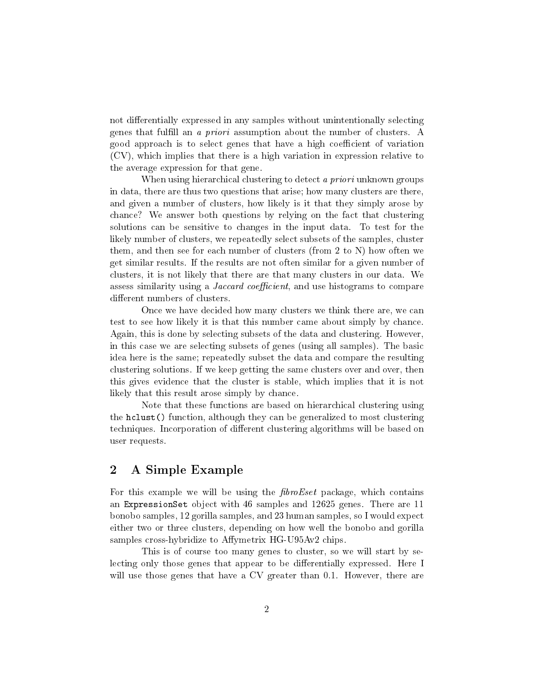not differentially expressed in any samples without unintentionally selecting genes that fulll an a priori assumption about the number of clusters. A good approach is to select genes that have a high coefficient of variation (CV), which implies that there is a high variation in expression relative to the average expression for that gene.

When using hierarchical clustering to detect a priori unknown groups in data, there are thus two questions that arise; how many clusters are there, and given a number of clusters, how likely is it that they simply arose by chance? We answer both questions by relying on the fact that clustering solutions can be sensitive to changes in the input data. To test for the likely number of clusters, we repeatedly select subsets of the samples, cluster them, and then see for each number of clusters (from 2 to N) how often we get similar results. If the results are not often similar for a given number of clusters, it is not likely that there are that many clusters in our data. We assess similarity using a *Jaccard coefficient*, and use histograms to compare different numbers of clusters.

Once we have decided how many clusters we think there are, we can test to see how likely it is that this number came about simply by chance. Again, this is done by selecting subsets of the data and clustering. However, in this case we are selecting subsets of genes (using all samples). The basic idea here is the same; repeatedly subset the data and compare the resulting clustering solutions. If we keep getting the same clusters over and over, then this gives evidence that the cluster is stable, which implies that it is not likely that this result arose simply by chance.

Note that these functions are based on hierarchical clustering using the hclust() function, although they can be generalized to most clustering techniques. Incorporation of different clustering algorithms will be based on user requests.

## 2 A Simple Example

For this example we will be using the  $\hat{f}broEset$  package, which contains an ExpressionSet object with 46 samples and 12625 genes. There are 11 bonobo samples, 12 gorilla samples, and 23 human samples, so I would expect either two or three clusters, depending on how well the bonobo and gorilla samples cross-hybridize to Affymetrix HG-U95Av2 chips.

This is of course too many genes to cluster, so we will start by selecting only those genes that appear to be differentially expressed. Here I will use those genes that have a CV greater than 0.1. However, there are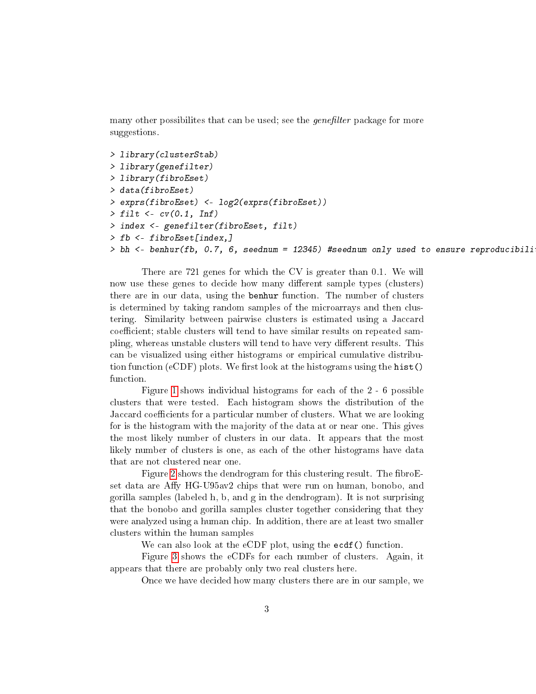many other possibilites that can be used; see the *genefilter* package for more suggestions.

```
> library(clusterStab)
> library(genefilter)
> library(fibroEset)
> data(fibroEset)
> exprs(fibroEset) <- log2(exprs(fibroEset))
> filt \leq cv(0.1, Inf)
> index <- genefilter(fibroEset, filt)
> fb <- fibroEset[index,]
> bh <- benhur(fb, 0.7, 6, seednum = 12345) #seednum only used to ensure reproducibili
```
There are 721 genes for which the CV is greater than 0.1. We will now use these genes to decide how many different sample types (clusters) there are in our data, using the benhur function. The number of clusters is determined by taking random samples of the microarrays and then clustering. Similarity between pairwise clusters is estimated using a Jaccard coefficient; stable clusters will tend to have similar results on repeated sampling, whereas unstable clusters will tend to have very different results. This can be visualized using either histograms or empirical cumulative distribution function (eCDF) plots. We first look at the histograms using the hist() function.

Figure [1](#page-3-0) shows individual histograms for each of the 2 - 6 possible clusters that were tested. Each histogram shows the distribution of the Jaccard coefficients for a particular number of clusters. What we are looking for is the histogram with the majority of the data at or near one. This gives the most likely number of clusters in our data. It appears that the most likely number of clusters is one, as each of the other histograms have data that are not clustered near one.

Figure [2](#page-4-0) shows the dendrogram for this clustering result. The fibroEset data are Affy HG-U95av2 chips that were run on human, bonobo, and gorilla samples (labeled h, b, and g in the dendrogram). It is not surprising that the bonobo and gorilla samples cluster together considering that they were analyzed using a human chip. In addition, there are at least two smaller clusters within the human samples

We can also look at the eCDF plot, using the ecdf() function.

Figure [3](#page-5-0) shows the eCDFs for each number of clusters. Again, it appears that there are probably only two real clusters here.

Once we have decided how many clusters there are in our sample, we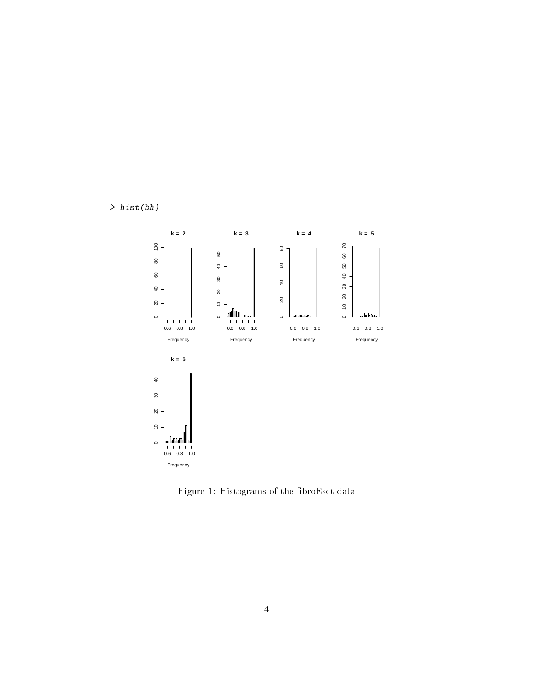



<span id="page-3-0"></span>Figure 1: Histograms of the fibroEset data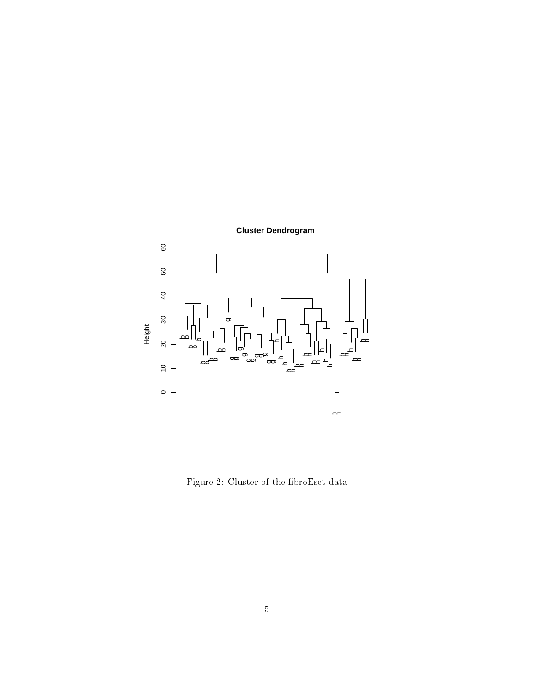

<span id="page-4-0"></span>Figure 2: Cluster of the fibroEset data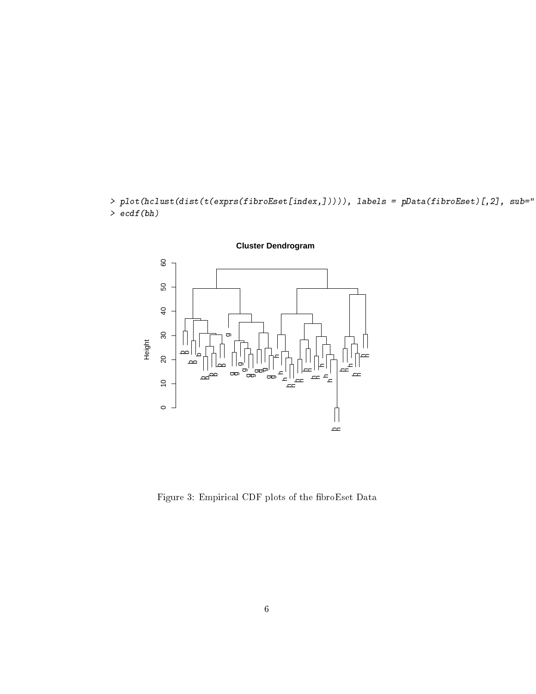$\rightarrow plot(hclust(dist(t(exprs(fibroEset[index,]))))$ , labels = pData(fibroEset)[,2], sub=" > ecdf(bh)



<span id="page-5-0"></span>Figure 3: Empirical CDF plots of the fibroEset Data